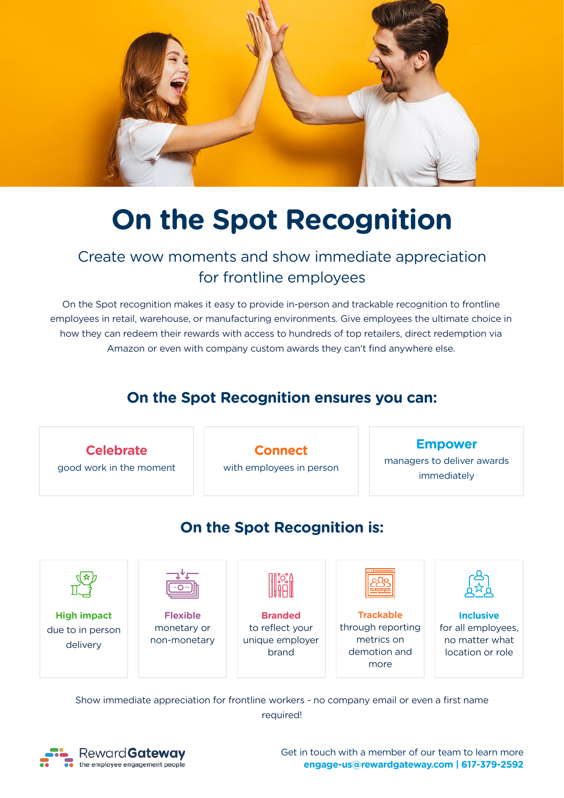

# **On the Spot Recognition**

# Create wow moments and show immediate appreciation for frontline employees

On the Spot recognition makes it easy to provide in-person and trackable recognition to frontline employees in retail, warehouse, or manufacturing environments. Give employees the ultimate choice in how they can redeem their rewards with access to hundreds of top retailers, direct redemption via Amazon or even with company custom awards they can't find anywhere else.

# **On the Spot Recognition ensures you can:**



Show immediate appreciation for frontline workers - no company email or even a first name required!



Get in touch with a member of our team to learn more **engage-us@rewardgateway.com | 617-379-2592**